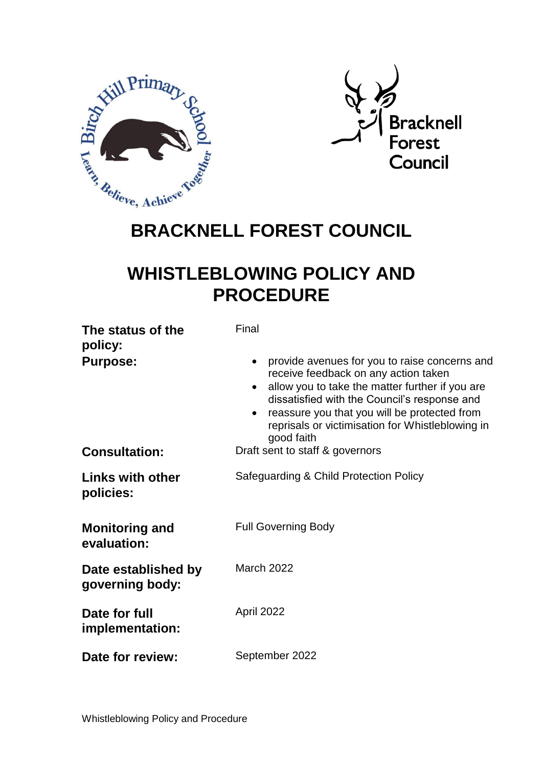



# **WHISTLEBLOWING POLICY AND PROCEDURE**

| The status of the<br>policy:<br><b>Purpose:</b> | Final<br>provide avenues for you to raise concerns and<br>receive feedback on any action taken<br>allow you to take the matter further if you are<br>dissatisfied with the Council's response and<br>reassure you that you will be protected from<br>reprisals or victimisation for Whistleblowing in<br>good faith |
|-------------------------------------------------|---------------------------------------------------------------------------------------------------------------------------------------------------------------------------------------------------------------------------------------------------------------------------------------------------------------------|
| <b>Consultation:</b>                            | Draft sent to staff & governors                                                                                                                                                                                                                                                                                     |
| <b>Links with other</b><br>policies:            | Safeguarding & Child Protection Policy                                                                                                                                                                                                                                                                              |
| <b>Monitoring and</b><br>evaluation:            | <b>Full Governing Body</b>                                                                                                                                                                                                                                                                                          |
| Date established by<br>governing body:          | <b>March 2022</b>                                                                                                                                                                                                                                                                                                   |
| Date for full<br>implementation:                | April 2022                                                                                                                                                                                                                                                                                                          |
| Date for review:                                | September 2022                                                                                                                                                                                                                                                                                                      |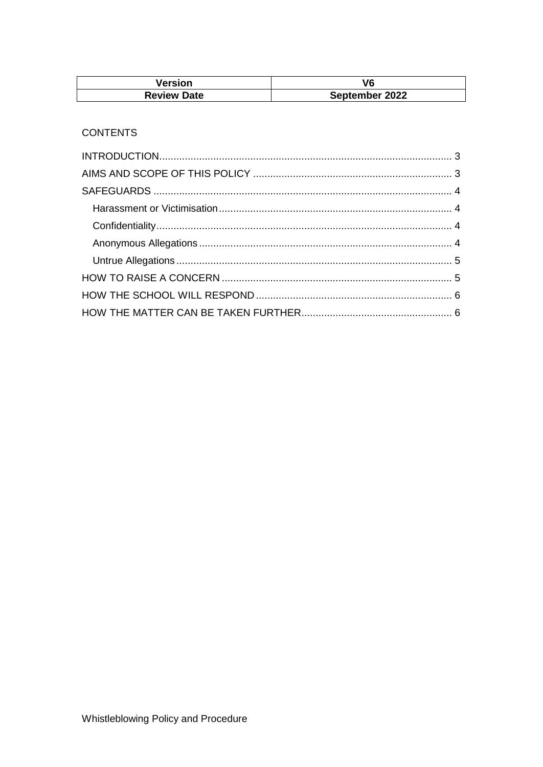| Version            | V6             |
|--------------------|----------------|
| <b>Review Date</b> | September 2022 |

## **CONTENTS**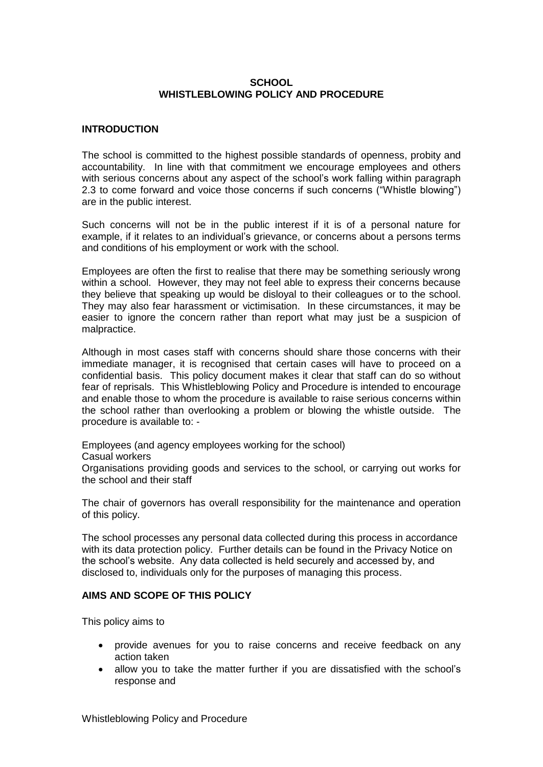#### **SCHOOL WHISTLEBLOWING POLICY AND PROCEDURE**

#### <span id="page-2-0"></span>**INTRODUCTION**

The school is committed to the highest possible standards of openness, probity and accountability. In line with that commitment we encourage employees and others with serious concerns about any aspect of the school's work falling within paragraph 2.3 to come forward and voice those concerns if such concerns ("Whistle blowing") are in the public interest.

Such concerns will not be in the public interest if it is of a personal nature for example, if it relates to an individual's grievance, or concerns about a persons terms and conditions of his employment or work with the school.

Employees are often the first to realise that there may be something seriously wrong within a school. However, they may not feel able to express their concerns because they believe that speaking up would be disloyal to their colleagues or to the school. They may also fear harassment or victimisation. In these circumstances, it may be easier to ignore the concern rather than report what may just be a suspicion of malpractice.

Although in most cases staff with concerns should share those concerns with their immediate manager, it is recognised that certain cases will have to proceed on a confidential basis. This policy document makes it clear that staff can do so without fear of reprisals. This Whistleblowing Policy and Procedure is intended to encourage and enable those to whom the procedure is available to raise serious concerns within the school rather than overlooking a problem or blowing the whistle outside. The procedure is available to: -

Employees (and agency employees working for the school)

Casual workers

Organisations providing goods and services to the school, or carrying out works for the school and their staff

The chair of governors has overall responsibility for the maintenance and operation of this policy.

The school processes any personal data collected during this process in accordance with its data protection policy. Further details can be found in the Privacy Notice on the school's website. Any data collected is held securely and accessed by, and disclosed to, individuals only for the purposes of managing this process.

#### <span id="page-2-1"></span>**AIMS AND SCOPE OF THIS POLICY**

This policy aims to

- provide avenues for you to raise concerns and receive feedback on any action taken
- allow you to take the matter further if you are dissatisfied with the school's response and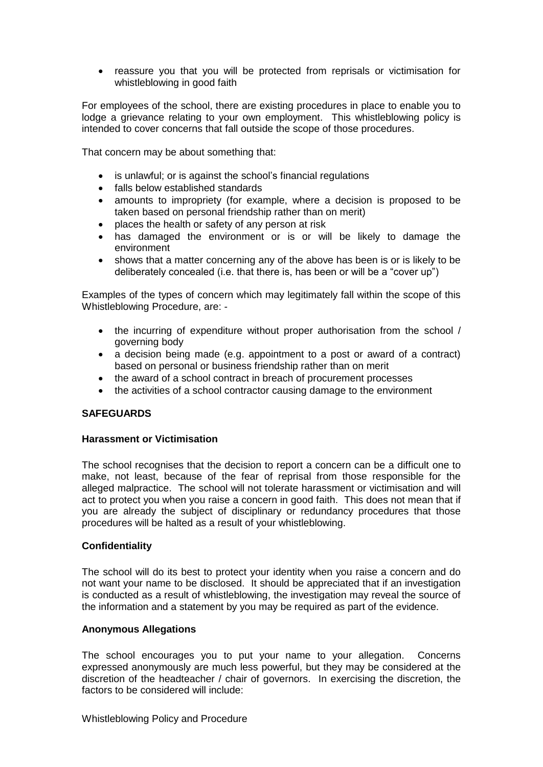reassure you that you will be protected from reprisals or victimisation for whistleblowing in good faith

For employees of the school, there are existing procedures in place to enable you to lodge a grievance relating to your own employment. This whistleblowing policy is intended to cover concerns that fall outside the scope of those procedures.

That concern may be about something that:

- is unlawful; or is against the school's financial regulations
- falls below established standards
- amounts to impropriety (for example, where a decision is proposed to be taken based on personal friendship rather than on merit)
- places the health or safety of any person at risk
- has damaged the environment or is or will be likely to damage the environment
- shows that a matter concerning any of the above has been is or is likely to be deliberately concealed (i.e. that there is, has been or will be a "cover up")

Examples of the types of concern which may legitimately fall within the scope of this Whistleblowing Procedure, are: -

- the incurring of expenditure without proper authorisation from the school / governing body
- a decision being made (e.g. appointment to a post or award of a contract) based on personal or business friendship rather than on merit
- the award of a school contract in breach of procurement processes
- the activities of a school contractor causing damage to the environment

#### <span id="page-3-0"></span>**SAFEGUARDS**

#### <span id="page-3-1"></span>**Harassment or Victimisation**

The school recognises that the decision to report a concern can be a difficult one to make, not least, because of the fear of reprisal from those responsible for the alleged malpractice. The school will not tolerate harassment or victimisation and will act to protect you when you raise a concern in good faith. This does not mean that if you are already the subject of disciplinary or redundancy procedures that those procedures will be halted as a result of your whistleblowing.

#### <span id="page-3-2"></span>**Confidentiality**

The school will do its best to protect your identity when you raise a concern and do not want your name to be disclosed. It should be appreciated that if an investigation is conducted as a result of whistleblowing, the investigation may reveal the source of the information and a statement by you may be required as part of the evidence.

#### <span id="page-3-3"></span>**Anonymous Allegations**

The school encourages you to put your name to your allegation. Concerns expressed anonymously are much less powerful, but they may be considered at the discretion of the headteacher / chair of governors. In exercising the discretion, the factors to be considered will include: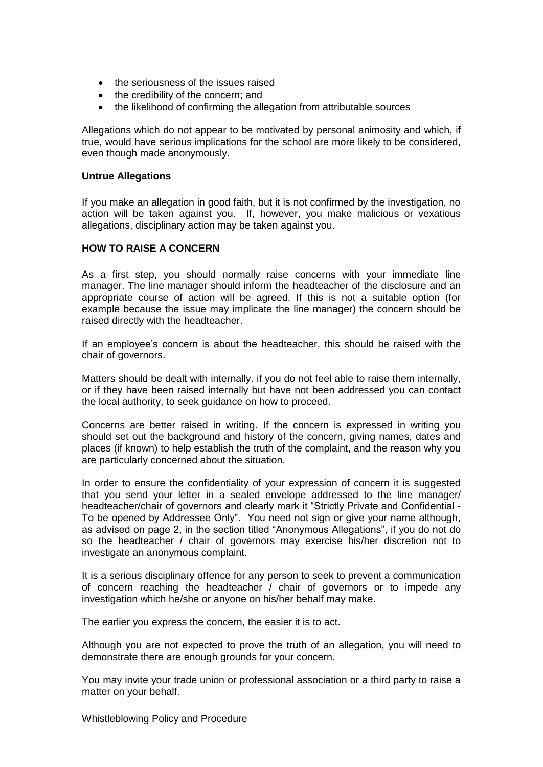- the seriousness of the issues raised
- the credibility of the concern; and
- the likelihood of confirming the allegation from attributable sources

Allegations which do not appear to be motivated by personal animosity and which, if true, would have serious implications for the school are more likely to be considered, even though made anonymously.

#### <span id="page-4-0"></span>**Untrue Allegations**

If you make an allegation in good faith, but it is not confirmed by the investigation, no action will be taken against you. If, however, you make malicious or vexatious allegations, disciplinary action may be taken against you.

#### <span id="page-4-1"></span>**HOW TO RAISE A CONCERN**

As a first step, you should normally raise concerns with your immediate line manager. The line manager should inform the headteacher of the disclosure and an appropriate course of action will be agreed. If this is not a suitable option (for example because the issue may implicate the line manager) the concern should be raised directly with the headteacher.

If an employee's concern is about the headteacher, this should be raised with the chair of governors.

Matters should be dealt with internally. if you do not feel able to raise them internally, or if they have been raised internally but have not been addressed you can contact the local authority, to seek guidance on how to proceed.

Concerns are better raised in writing. If the concern is expressed in writing you should set out the background and history of the concern, giving names, dates and places (if known) to help establish the truth of the complaint, and the reason why you are particularly concerned about the situation.

In order to ensure the confidentiality of your expression of concern it is suggested that you send your letter in a sealed envelope addressed to the line manager/ headteacher/chair of governors and clearly mark it "Strictly Private and Confidential - To be opened by Addressee Only". You need not sign or give your name although, as advised on page 2, in the section titled "Anonymous Allegations", if you do not do so the headteacher / chair of governors may exercise his/her discretion not to investigate an anonymous complaint.

It is a serious disciplinary offence for any person to seek to prevent a communication of concern reaching the headteacher / chair of governors or to impede any investigation which he/she or anyone on his/her behalf may make.

The earlier you express the concern, the easier it is to act.

Although you are not expected to prove the truth of an allegation, you will need to demonstrate there are enough grounds for your concern.

You may invite your trade union or professional association or a third party to raise a matter on your behalf.

Whistleblowing Policy and Procedure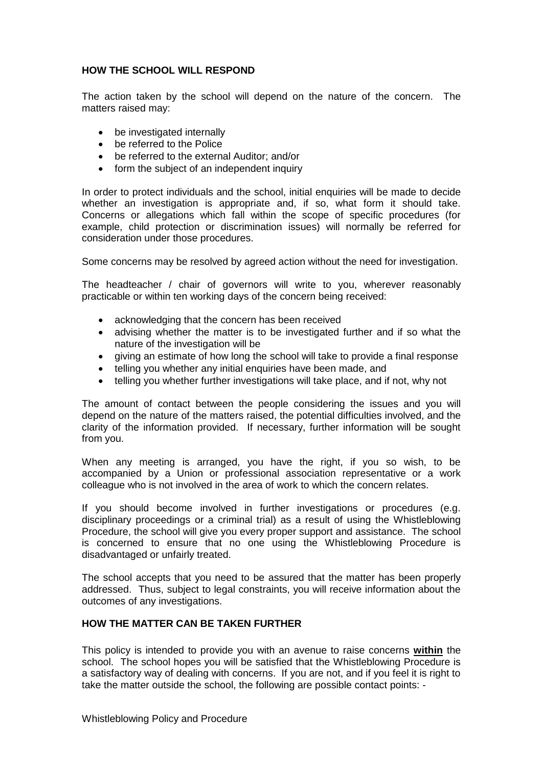### <span id="page-5-0"></span>**HOW THE SCHOOL WILL RESPOND**

The action taken by the school will depend on the nature of the concern. The matters raised may:

- be investigated internally
- be referred to the Police
- be referred to the external Auditor; and/or
- form the subject of an independent inquiry

In order to protect individuals and the school, initial enquiries will be made to decide whether an investigation is appropriate and, if so, what form it should take. Concerns or allegations which fall within the scope of specific procedures (for example, child protection or discrimination issues) will normally be referred for consideration under those procedures.

Some concerns may be resolved by agreed action without the need for investigation.

The headteacher / chair of governors will write to you, wherever reasonably practicable or within ten working days of the concern being received:

- acknowledging that the concern has been received
- advising whether the matter is to be investigated further and if so what the nature of the investigation will be
- giving an estimate of how long the school will take to provide a final response
- telling you whether any initial enquiries have been made, and
- telling you whether further investigations will take place, and if not, why not

The amount of contact between the people considering the issues and you will depend on the nature of the matters raised, the potential difficulties involved, and the clarity of the information provided. If necessary, further information will be sought from you.

When any meeting is arranged, you have the right, if you so wish, to be accompanied by a Union or professional association representative or a work colleague who is not involved in the area of work to which the concern relates.

If you should become involved in further investigations or procedures (e.g. disciplinary proceedings or a criminal trial) as a result of using the Whistleblowing Procedure, the school will give you every proper support and assistance. The school is concerned to ensure that no one using the Whistleblowing Procedure is disadvantaged or unfairly treated.

The school accepts that you need to be assured that the matter has been properly addressed. Thus, subject to legal constraints, you will receive information about the outcomes of any investigations.

#### <span id="page-5-1"></span>**HOW THE MATTER CAN BE TAKEN FURTHER**

This policy is intended to provide you with an avenue to raise concerns **within** the school. The school hopes you will be satisfied that the Whistleblowing Procedure is a satisfactory way of dealing with concerns. If you are not, and if you feel it is right to take the matter outside the school, the following are possible contact points: -